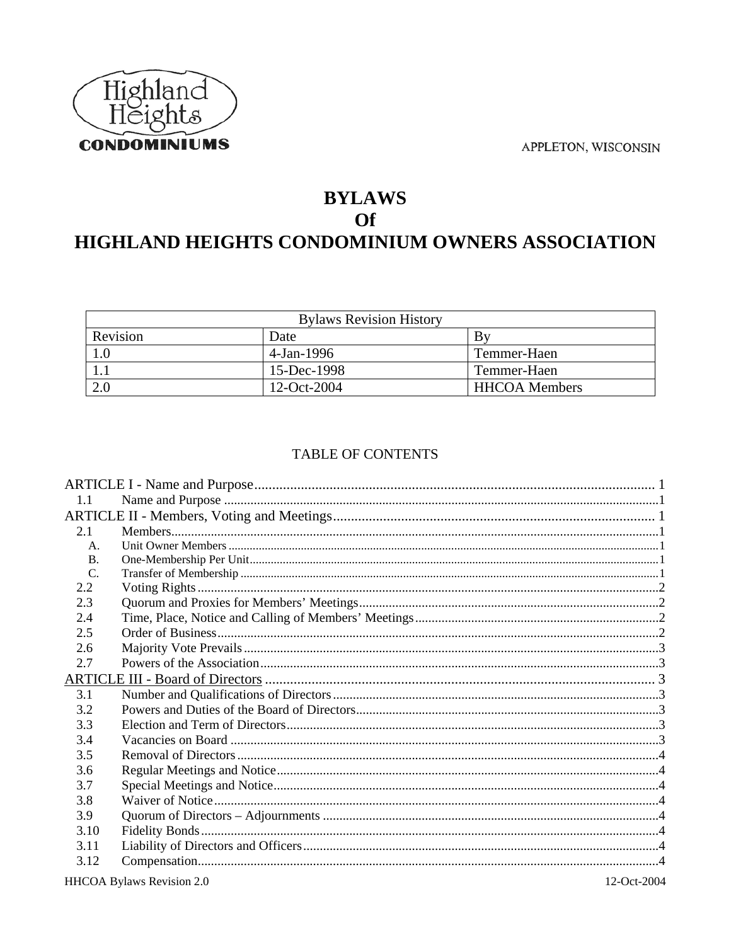



# **BYLAWS Of** HIGHLAND HEIGHTS CONDOMINIUM OWNERS ASSOCIATION

|          | <b>Bylaws Revision History</b> |                      |
|----------|--------------------------------|----------------------|
| Revision | Date                           | Bv                   |
| 1.0      | 4-Jan-1996                     | Temmer-Haen          |
|          | 15-Dec-1998                    | Temmer-Haen          |
| 2.0      | 12-Oct-2004                    | <b>HHCOA</b> Members |

## TABLE OF CONTENTS

| 1.1             |  |
|-----------------|--|
|                 |  |
| 2.1             |  |
| $A_{\cdot}$     |  |
| B.              |  |
| $\mathcal{C}$ . |  |
| 2.2             |  |
| 2.3             |  |
| 2.4             |  |
| 2.5             |  |
| 2.6             |  |
| 2.7             |  |
|                 |  |
| 3.1             |  |
| 3.2             |  |
| 3.3             |  |
| 3.4             |  |
| 3.5             |  |
| 3.6             |  |
| 3.7             |  |
| 3.8             |  |
| 3.9             |  |
| 3.10            |  |
| 3.11            |  |
| 3.12            |  |
|                 |  |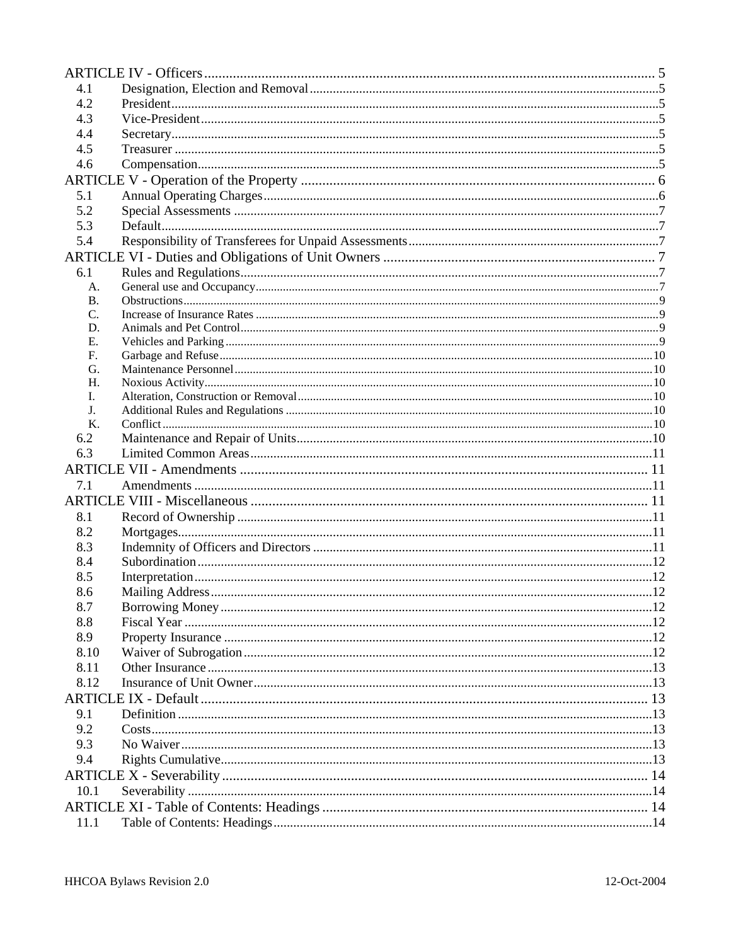| 4.1            |  |  |  |
|----------------|--|--|--|
| 4.2            |  |  |  |
| 4.3            |  |  |  |
| 4.4            |  |  |  |
| 4.5            |  |  |  |
| 4.6            |  |  |  |
|                |  |  |  |
| 5.1            |  |  |  |
| 5.2            |  |  |  |
| 5.3            |  |  |  |
| 5.4            |  |  |  |
|                |  |  |  |
| 6.1            |  |  |  |
| A.             |  |  |  |
| <b>B.</b>      |  |  |  |
| C.             |  |  |  |
| D.             |  |  |  |
| Ε.             |  |  |  |
| $F_{\cdot}$    |  |  |  |
| G.             |  |  |  |
| Н.             |  |  |  |
| L.             |  |  |  |
| J <sub>r</sub> |  |  |  |
| $K_{\cdot}$    |  |  |  |
| 6.2            |  |  |  |
| 6.3            |  |  |  |
|                |  |  |  |
| 7.1            |  |  |  |
|                |  |  |  |
| 8.1            |  |  |  |
| 8.2            |  |  |  |
| 8.3            |  |  |  |
| 8.4            |  |  |  |
| 8.5            |  |  |  |
| 8.6            |  |  |  |
| 8.7            |  |  |  |
| 8.8            |  |  |  |
| 8.9            |  |  |  |
| 8.10           |  |  |  |
| 8.11           |  |  |  |
| 8.12           |  |  |  |
|                |  |  |  |
| 9.1            |  |  |  |
| 9.2            |  |  |  |
| 9.3            |  |  |  |
| 9.4            |  |  |  |
|                |  |  |  |
| 10.1           |  |  |  |
|                |  |  |  |
| 11.1           |  |  |  |
|                |  |  |  |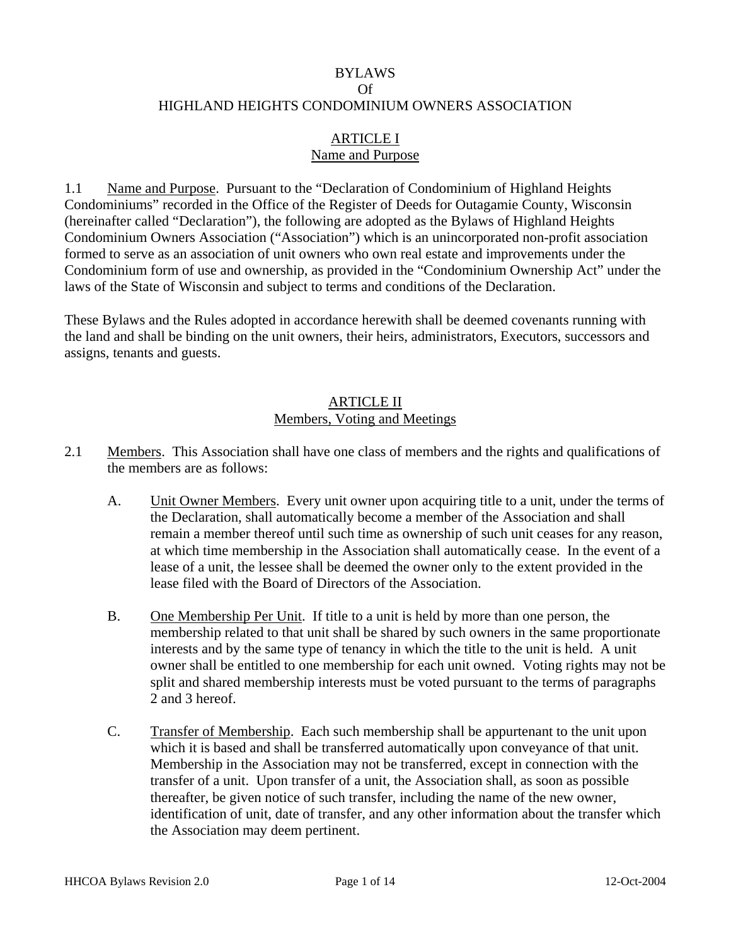#### BYLAWS

#### Of

#### <span id="page-2-0"></span>HIGHLAND HEIGHTS CONDOMINIUM OWNERS ASSOCIATION

### ARTICLE I Name and Purpose

1.1 Name and Purpose. Pursuant to the "Declaration of Condominium of Highland Heights Condominiums" recorded in the Office of the Register of Deeds for Outagamie County, Wisconsin (hereinafter called "Declaration"), the following are adopted as the Bylaws of Highland Heights Condominium Owners Association ("Association") which is an unincorporated non-profit association formed to serve as an association of unit owners who own real estate and improvements under the Condominium form of use and ownership, as provided in the "Condominium Ownership Act" under the laws of the State of Wisconsin and subject to terms and conditions of the Declaration.

These Bylaws and the Rules adopted in accordance herewith shall be deemed covenants running with the land and shall be binding on the unit owners, their heirs, administrators, Executors, successors and assigns, tenants and guests.

### ARTICLE II Members, Voting and Meetings

- 2.1 Members. This Association shall have one class of members and the rights and qualifications of the members are as follows:
	- A. Unit Owner Members. Every unit owner upon acquiring title to a unit, under the terms of the Declaration, shall automatically become a member of the Association and shall remain a member thereof until such time as ownership of such unit ceases for any reason, at which time membership in the Association shall automatically cease. In the event of a lease of a unit, the lessee shall be deemed the owner only to the extent provided in the lease filed with the Board of Directors of the Association.
	- B. One Membership Per Unit. If title to a unit is held by more than one person, the membership related to that unit shall be shared by such owners in the same proportionate interests and by the same type of tenancy in which the title to the unit is held. A unit owner shall be entitled to one membership for each unit owned. Voting rights may not be split and shared membership interests must be voted pursuant to the terms of paragraphs 2 and 3 hereof.
	- C. Transfer of Membership. Each such membership shall be appurtenant to the unit upon which it is based and shall be transferred automatically upon conveyance of that unit. Membership in the Association may not be transferred, except in connection with the transfer of a unit. Upon transfer of a unit, the Association shall, as soon as possible thereafter, be given notice of such transfer, including the name of the new owner, identification of unit, date of transfer, and any other information about the transfer which the Association may deem pertinent.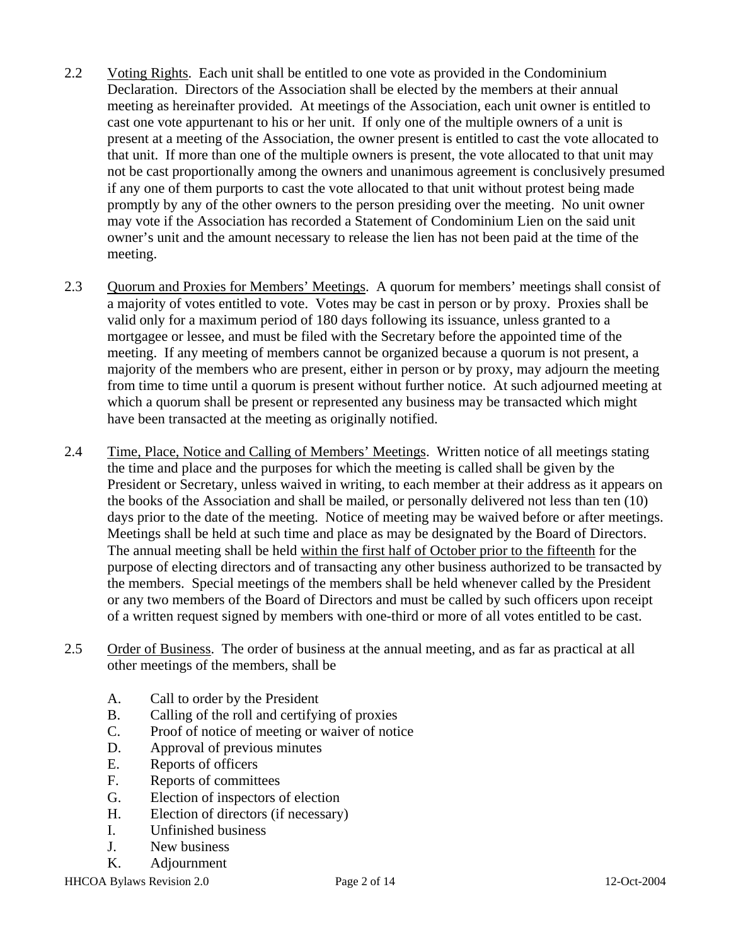- <span id="page-3-0"></span>2.2 Voting Rights. Each unit shall be entitled to one vote as provided in the Condominium Declaration. Directors of the Association shall be elected by the members at their annual meeting as hereinafter provided. At meetings of the Association, each unit owner is entitled to cast one vote appurtenant to his or her unit. If only one of the multiple owners of a unit is present at a meeting of the Association, the owner present is entitled to cast the vote allocated to that unit. If more than one of the multiple owners is present, the vote allocated to that unit may not be cast proportionally among the owners and unanimous agreement is conclusively presumed if any one of them purports to cast the vote allocated to that unit without protest being made promptly by any of the other owners to the person presiding over the meeting. No unit owner may vote if the Association has recorded a Statement of Condominium Lien on the said unit owner's unit and the amount necessary to release the lien has not been paid at the time of the meeting.
- 2.3 Quorum and Proxies for Members' Meetings. A quorum for members' meetings shall consist of a majority of votes entitled to vote. Votes may be cast in person or by proxy. Proxies shall be valid only for a maximum period of 180 days following its issuance, unless granted to a mortgagee or lessee, and must be filed with the Secretary before the appointed time of the meeting. If any meeting of members cannot be organized because a quorum is not present, a majority of the members who are present, either in person or by proxy, may adjourn the meeting from time to time until a quorum is present without further notice. At such adjourned meeting at which a quorum shall be present or represented any business may be transacted which might have been transacted at the meeting as originally notified.
- 2.4 Time, Place, Notice and Calling of Members' Meetings. Written notice of all meetings stating the time and place and the purposes for which the meeting is called shall be given by the President or Secretary, unless waived in writing, to each member at their address as it appears on the books of the Association and shall be mailed, or personally delivered not less than ten (10) days prior to the date of the meeting. Notice of meeting may be waived before or after meetings. Meetings shall be held at such time and place as may be designated by the Board of Directors. The annual meeting shall be held within the first half of October prior to the fifteenth for the purpose of electing directors and of transacting any other business authorized to be transacted by the members. Special meetings of the members shall be held whenever called by the President or any two members of the Board of Directors and must be called by such officers upon receipt of a written request signed by members with one-third or more of all votes entitled to be cast.
- 2.5 Order of Business. The order of business at the annual meeting, and as far as practical at all other meetings of the members, shall be
	- A. Call to order by the President
	- B. Calling of the roll and certifying of proxies
	- C. Proof of notice of meeting or waiver of notice
	- D. Approval of previous minutes
	- E. Reports of officers
	- F. Reports of committees
	- G. Election of inspectors of election
	- H. Election of directors (if necessary)
	- I. Unfinished business
	- J. New business
	- K. Adjournment

HHCOA Bylaws Revision 2.0 Page 2 of 14 12-Oct-2004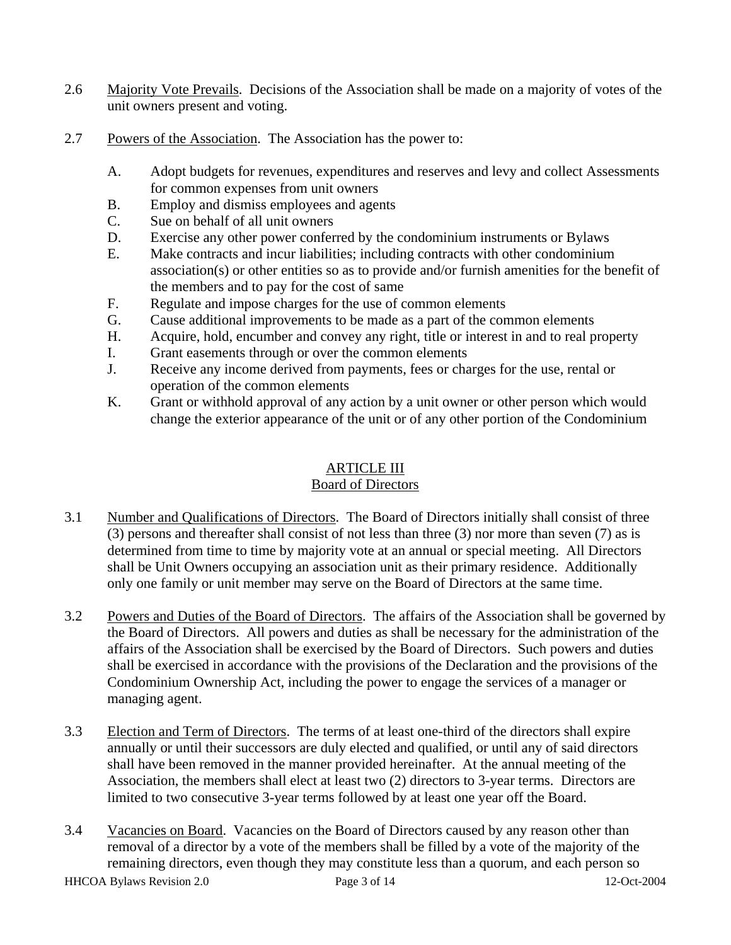- <span id="page-4-0"></span>2.6 Majority Vote Prevails. Decisions of the Association shall be made on a majority of votes of the unit owners present and voting.
- 2.7 Powers of the Association. The Association has the power to:
	- A. Adopt budgets for revenues, expenditures and reserves and levy and collect Assessments for common expenses from unit owners
	- B. Employ and dismiss employees and agents
	- C. Sue on behalf of all unit owners
	- D. Exercise any other power conferred by the condominium instruments or Bylaws
	- E. Make contracts and incur liabilities; including contracts with other condominium association(s) or other entities so as to provide and/or furnish amenities for the benefit of the members and to pay for the cost of same
	- F. Regulate and impose charges for the use of common elements
	- G. Cause additional improvements to be made as a part of the common elements
	- H. Acquire, hold, encumber and convey any right, title or interest in and to real property
	- I. Grant easements through or over the common elements
	- J. Receive any income derived from payments, fees or charges for the use, rental or operation of the common elements
	- K. Grant or withhold approval of any action by a unit owner or other person which would change the exterior appearance of the unit or of any other portion of the Condominium

## ARTICLE III

#### Board of Directors

- 3.1 Number and Qualifications of Directors. The Board of Directors initially shall consist of three (3) persons and thereafter shall consist of not less than three (3) nor more than seven (7) as is determined from time to time by majority vote at an annual or special meeting. All Directors shall be Unit Owners occupying an association unit as their primary residence. Additionally only one family or unit member may serve on the Board of Directors at the same time.
- 3.2 Powers and Duties of the Board of Directors. The affairs of the Association shall be governed by the Board of Directors. All powers and duties as shall be necessary for the administration of the affairs of the Association shall be exercised by the Board of Directors. Such powers and duties shall be exercised in accordance with the provisions of the Declaration and the provisions of the Condominium Ownership Act, including the power to engage the services of a manager or managing agent.
- 3.3 Election and Term of Directors. The terms of at least one-third of the directors shall expire annually or until their successors are duly elected and qualified, or until any of said directors shall have been removed in the manner provided hereinafter. At the annual meeting of the Association, the members shall elect at least two (2) directors to 3-year terms. Directors are limited to two consecutive 3-year terms followed by at least one year off the Board.
- 3.4 Vacancies on Board. Vacancies on the Board of Directors caused by any reason other than removal of a director by a vote of the members shall be filled by a vote of the majority of the remaining directors, even though they may constitute less than a quorum, and each person so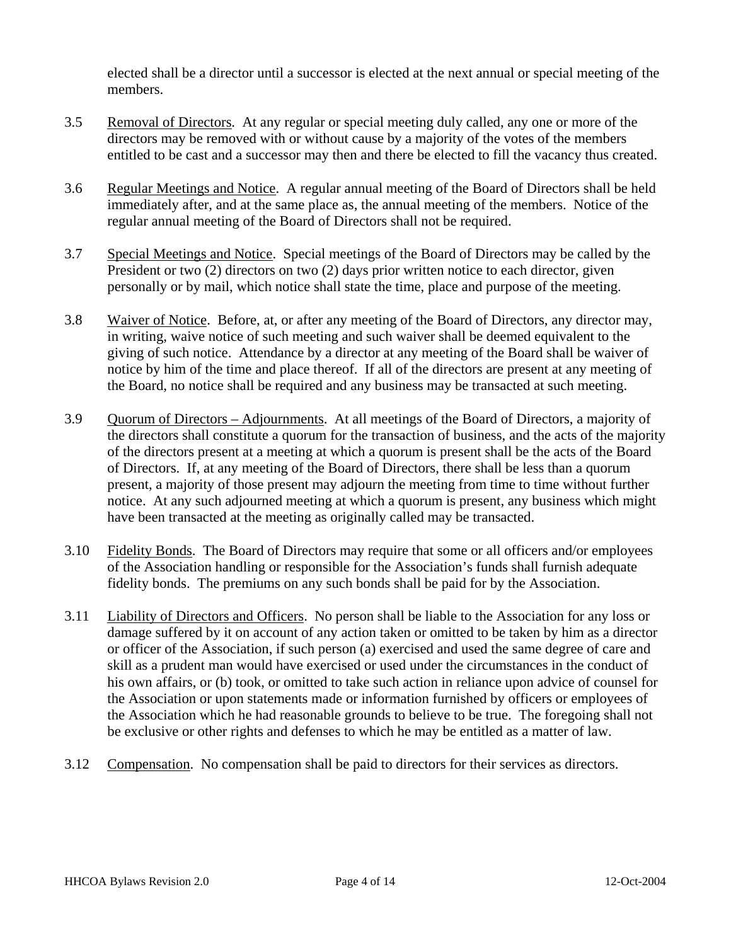<span id="page-5-0"></span>elected shall be a director until a successor is elected at the next annual or special meeting of the members.

- 3.5 Removal of Directors. At any regular or special meeting duly called, any one or more of the directors may be removed with or without cause by a majority of the votes of the members entitled to be cast and a successor may then and there be elected to fill the vacancy thus created.
- 3.6 Regular Meetings and Notice. A regular annual meeting of the Board of Directors shall be held immediately after, and at the same place as, the annual meeting of the members. Notice of the regular annual meeting of the Board of Directors shall not be required.
- 3.7 Special Meetings and Notice. Special meetings of the Board of Directors may be called by the President or two (2) directors on two (2) days prior written notice to each director, given personally or by mail, which notice shall state the time, place and purpose of the meeting.
- 3.8 Waiver of Notice. Before, at, or after any meeting of the Board of Directors, any director may, in writing, waive notice of such meeting and such waiver shall be deemed equivalent to the giving of such notice. Attendance by a director at any meeting of the Board shall be waiver of notice by him of the time and place thereof. If all of the directors are present at any meeting of the Board, no notice shall be required and any business may be transacted at such meeting.
- 3.9 Quorum of Directors Adjournments. At all meetings of the Board of Directors, a majority of the directors shall constitute a quorum for the transaction of business, and the acts of the majority of the directors present at a meeting at which a quorum is present shall be the acts of the Board of Directors. If, at any meeting of the Board of Directors, there shall be less than a quorum present, a majority of those present may adjourn the meeting from time to time without further notice. At any such adjourned meeting at which a quorum is present, any business which might have been transacted at the meeting as originally called may be transacted.
- 3.10 Fidelity Bonds. The Board of Directors may require that some or all officers and/or employees of the Association handling or responsible for the Association's funds shall furnish adequate fidelity bonds. The premiums on any such bonds shall be paid for by the Association.
- 3.11 Liability of Directors and Officers. No person shall be liable to the Association for any loss or damage suffered by it on account of any action taken or omitted to be taken by him as a director or officer of the Association, if such person (a) exercised and used the same degree of care and skill as a prudent man would have exercised or used under the circumstances in the conduct of his own affairs, or (b) took, or omitted to take such action in reliance upon advice of counsel for the Association or upon statements made or information furnished by officers or employees of the Association which he had reasonable grounds to believe to be true. The foregoing shall not be exclusive or other rights and defenses to which he may be entitled as a matter of law.
- 3.12 Compensation. No compensation shall be paid to directors for their services as directors.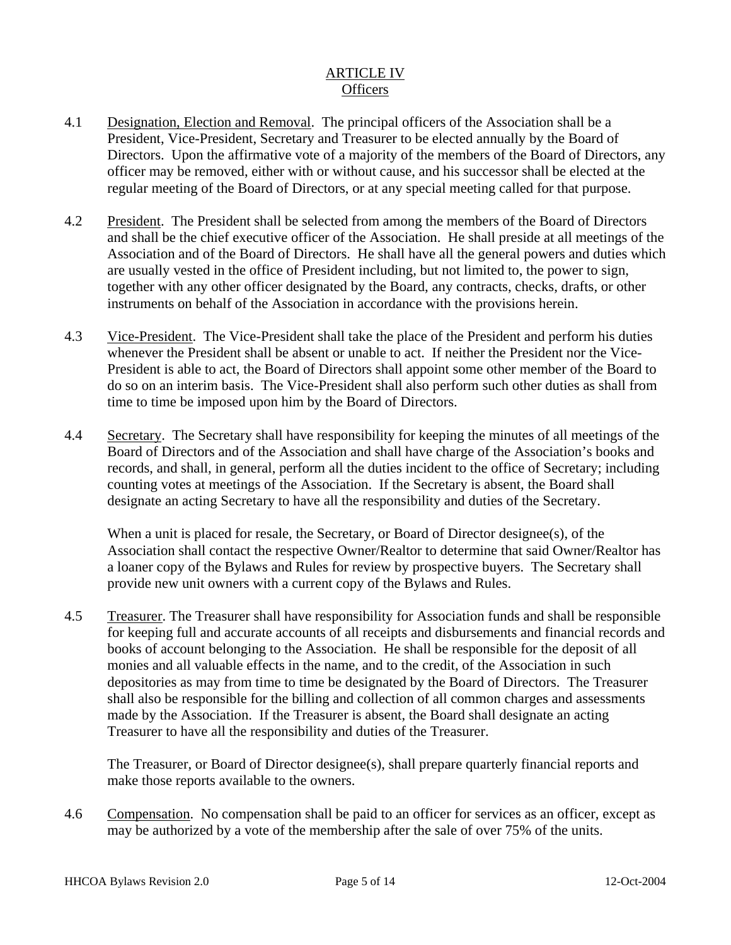## ARTICLE IV **Officers**

- <span id="page-6-0"></span>4.1 Designation, Election and Removal. The principal officers of the Association shall be a President, Vice-President, Secretary and Treasurer to be elected annually by the Board of Directors. Upon the affirmative vote of a majority of the members of the Board of Directors, any officer may be removed, either with or without cause, and his successor shall be elected at the regular meeting of the Board of Directors, or at any special meeting called for that purpose.
- 4.2 President. The President shall be selected from among the members of the Board of Directors and shall be the chief executive officer of the Association. He shall preside at all meetings of the Association and of the Board of Directors. He shall have all the general powers and duties which are usually vested in the office of President including, but not limited to, the power to sign, together with any other officer designated by the Board, any contracts, checks, drafts, or other instruments on behalf of the Association in accordance with the provisions herein.
- 4.3 Vice-President. The Vice-President shall take the place of the President and perform his duties whenever the President shall be absent or unable to act. If neither the President nor the Vice-President is able to act, the Board of Directors shall appoint some other member of the Board to do so on an interim basis. The Vice-President shall also perform such other duties as shall from time to time be imposed upon him by the Board of Directors.
- 4.4 Secretary. The Secretary shall have responsibility for keeping the minutes of all meetings of the Board of Directors and of the Association and shall have charge of the Association's books and records, and shall, in general, perform all the duties incident to the office of Secretary; including counting votes at meetings of the Association. If the Secretary is absent, the Board shall designate an acting Secretary to have all the responsibility and duties of the Secretary.

When a unit is placed for resale, the Secretary, or Board of Director designee(s), of the Association shall contact the respective Owner/Realtor to determine that said Owner/Realtor has a loaner copy of the Bylaws and Rules for review by prospective buyers. The Secretary shall provide new unit owners with a current copy of the Bylaws and Rules.

4.5 Treasurer. The Treasurer shall have responsibility for Association funds and shall be responsible for keeping full and accurate accounts of all receipts and disbursements and financial records and books of account belonging to the Association. He shall be responsible for the deposit of all monies and all valuable effects in the name, and to the credit, of the Association in such depositories as may from time to time be designated by the Board of Directors. The Treasurer shall also be responsible for the billing and collection of all common charges and assessments made by the Association. If the Treasurer is absent, the Board shall designate an acting Treasurer to have all the responsibility and duties of the Treasurer.

The Treasurer, or Board of Director designee(s), shall prepare quarterly financial reports and make those reports available to the owners.

4.6 Compensation. No compensation shall be paid to an officer for services as an officer, except as may be authorized by a vote of the membership after the sale of over 75% of the units.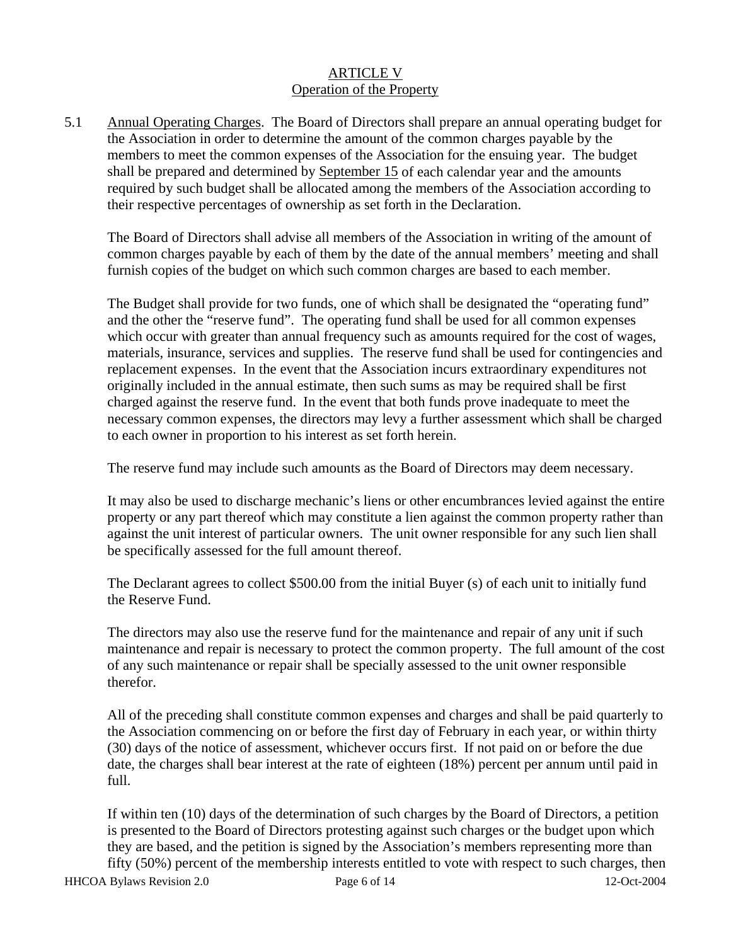## ARTICLE V Operation of the Property

<span id="page-7-0"></span>5.1 Annual Operating Charges. The Board of Directors shall prepare an annual operating budget for the Association in order to determine the amount of the common charges payable by the members to meet the common expenses of the Association for the ensuing year. The budget shall be prepared and determined by September 15 of each calendar year and the amounts required by such budget shall be allocated among the members of the Association according to their respective percentages of ownership as set forth in the Declaration.

 The Board of Directors shall advise all members of the Association in writing of the amount of common charges payable by each of them by the date of the annual members' meeting and shall furnish copies of the budget on which such common charges are based to each member.

 The Budget shall provide for two funds, one of which shall be designated the "operating fund" and the other the "reserve fund". The operating fund shall be used for all common expenses which occur with greater than annual frequency such as amounts required for the cost of wages, materials, insurance, services and supplies. The reserve fund shall be used for contingencies and replacement expenses. In the event that the Association incurs extraordinary expenditures not originally included in the annual estimate, then such sums as may be required shall be first charged against the reserve fund. In the event that both funds prove inadequate to meet the necessary common expenses, the directors may levy a further assessment which shall be charged to each owner in proportion to his interest as set forth herein.

The reserve fund may include such amounts as the Board of Directors may deem necessary.

It may also be used to discharge mechanic's liens or other encumbrances levied against the entire property or any part thereof which may constitute a lien against the common property rather than against the unit interest of particular owners. The unit owner responsible for any such lien shall be specifically assessed for the full amount thereof.

The Declarant agrees to collect \$500.00 from the initial Buyer (s) of each unit to initially fund the Reserve Fund.

 The directors may also use the reserve fund for the maintenance and repair of any unit if such maintenance and repair is necessary to protect the common property. The full amount of the cost of any such maintenance or repair shall be specially assessed to the unit owner responsible therefor.

 All of the preceding shall constitute common expenses and charges and shall be paid quarterly to the Association commencing on or before the first day of February in each year, or within thirty (30) days of the notice of assessment, whichever occurs first. If not paid on or before the due date, the charges shall bear interest at the rate of eighteen (18%) percent per annum until paid in full.

 If within ten (10) days of the determination of such charges by the Board of Directors, a petition is presented to the Board of Directors protesting against such charges or the budget upon which they are based, and the petition is signed by the Association's members representing more than fifty (50%) percent of the membership interests entitled to vote with respect to such charges, then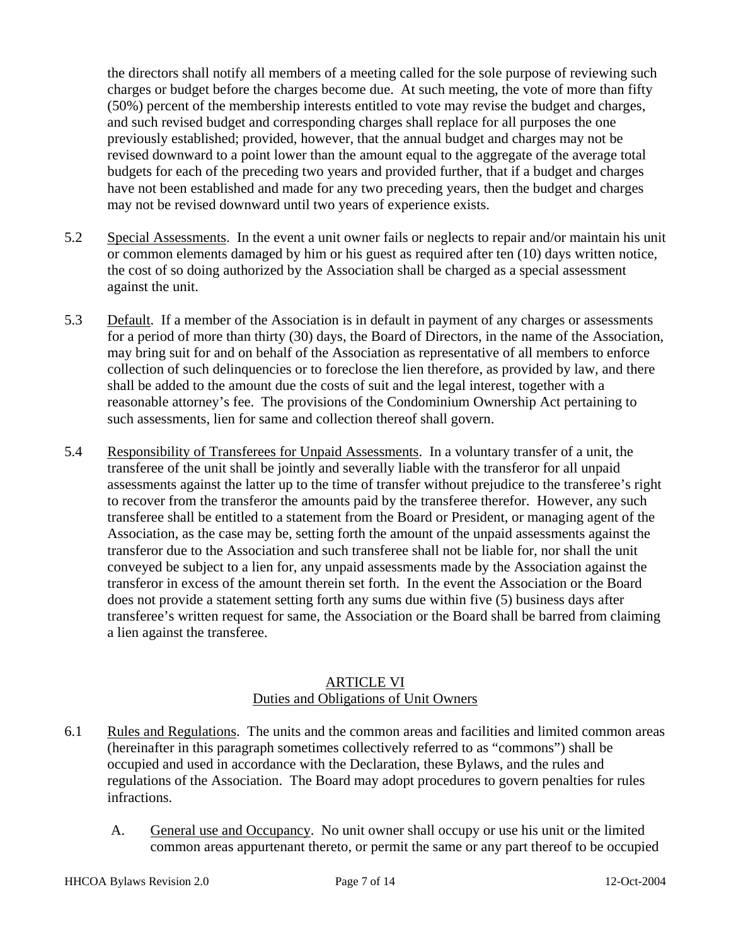<span id="page-8-0"></span>the directors shall notify all members of a meeting called for the sole purpose of reviewing such charges or budget before the charges become due. At such meeting, the vote of more than fifty (50%) percent of the membership interests entitled to vote may revise the budget and charges, and such revised budget and corresponding charges shall replace for all purposes the one previously established; provided, however, that the annual budget and charges may not be revised downward to a point lower than the amount equal to the aggregate of the average total budgets for each of the preceding two years and provided further, that if a budget and charges have not been established and made for any two preceding years, then the budget and charges may not be revised downward until two years of experience exists.

- 5.2 Special Assessments. In the event a unit owner fails or neglects to repair and/or maintain his unit or common elements damaged by him or his guest as required after ten (10) days written notice, the cost of so doing authorized by the Association shall be charged as a special assessment against the unit.
- 5.3 Default. If a member of the Association is in default in payment of any charges or assessments for a period of more than thirty (30) days, the Board of Directors, in the name of the Association, may bring suit for and on behalf of the Association as representative of all members to enforce collection of such delinquencies or to foreclose the lien therefore, as provided by law, and there shall be added to the amount due the costs of suit and the legal interest, together with a reasonable attorney's fee. The provisions of the Condominium Ownership Act pertaining to such assessments, lien for same and collection thereof shall govern.
- 5.4 Responsibility of Transferees for Unpaid Assessments. In a voluntary transfer of a unit, the transferee of the unit shall be jointly and severally liable with the transferor for all unpaid assessments against the latter up to the time of transfer without prejudice to the transferee's right to recover from the transferor the amounts paid by the transferee therefor. However, any such transferee shall be entitled to a statement from the Board or President, or managing agent of the Association, as the case may be, setting forth the amount of the unpaid assessments against the transferor due to the Association and such transferee shall not be liable for, nor shall the unit conveyed be subject to a lien for, any unpaid assessments made by the Association against the transferor in excess of the amount therein set forth. In the event the Association or the Board does not provide a statement setting forth any sums due within five (5) business days after transferee's written request for same, the Association or the Board shall be barred from claiming a lien against the transferee.

#### ARTICLE VI Duties and Obligations of Unit Owners

- 6.1 Rules and Regulations. The units and the common areas and facilities and limited common areas (hereinafter in this paragraph sometimes collectively referred to as "commons") shall be occupied and used in accordance with the Declaration, these Bylaws, and the rules and regulations of the Association. The Board may adopt procedures to govern penalties for rules infractions.
	- A. General use and Occupancy. No unit owner shall occupy or use his unit or the limited common areas appurtenant thereto, or permit the same or any part thereof to be occupied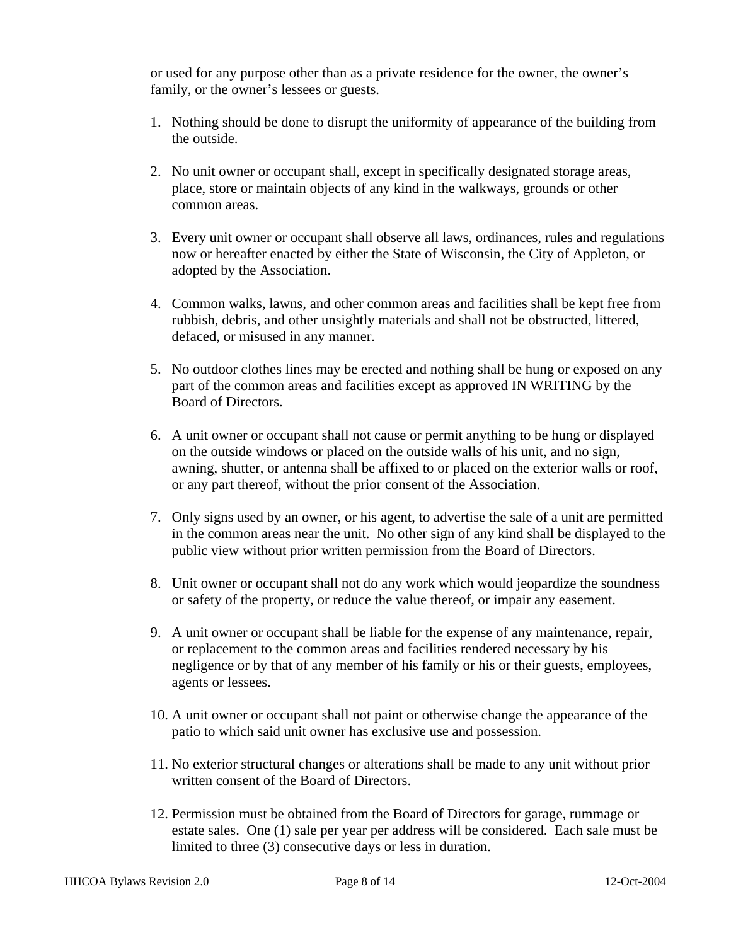or used for any purpose other than as a private residence for the owner, the owner's family, or the owner's lessees or guests.

- 1. Nothing should be done to disrupt the uniformity of appearance of the building from the outside.
- 2. No unit owner or occupant shall, except in specifically designated storage areas, place, store or maintain objects of any kind in the walkways, grounds or other common areas.
- 3. Every unit owner or occupant shall observe all laws, ordinances, rules and regulations now or hereafter enacted by either the State of Wisconsin, the City of Appleton, or adopted by the Association.
- 4. Common walks, lawns, and other common areas and facilities shall be kept free from rubbish, debris, and other unsightly materials and shall not be obstructed, littered, defaced, or misused in any manner.
- 5. No outdoor clothes lines may be erected and nothing shall be hung or exposed on any part of the common areas and facilities except as approved IN WRITING by the Board of Directors.
- 6. A unit owner or occupant shall not cause or permit anything to be hung or displayed on the outside windows or placed on the outside walls of his unit, and no sign, awning, shutter, or antenna shall be affixed to or placed on the exterior walls or roof, or any part thereof, without the prior consent of the Association.
- 7. Only signs used by an owner, or his agent, to advertise the sale of a unit are permitted in the common areas near the unit. No other sign of any kind shall be displayed to the public view without prior written permission from the Board of Directors.
- 8. Unit owner or occupant shall not do any work which would jeopardize the soundness or safety of the property, or reduce the value thereof, or impair any easement.
- 9. A unit owner or occupant shall be liable for the expense of any maintenance, repair, or replacement to the common areas and facilities rendered necessary by his negligence or by that of any member of his family or his or their guests, employees, agents or lessees.
- 10. A unit owner or occupant shall not paint or otherwise change the appearance of the patio to which said unit owner has exclusive use and possession.
- 11. No exterior structural changes or alterations shall be made to any unit without prior written consent of the Board of Directors.
- 12. Permission must be obtained from the Board of Directors for garage, rummage or estate sales. One (1) sale per year per address will be considered. Each sale must be limited to three (3) consecutive days or less in duration.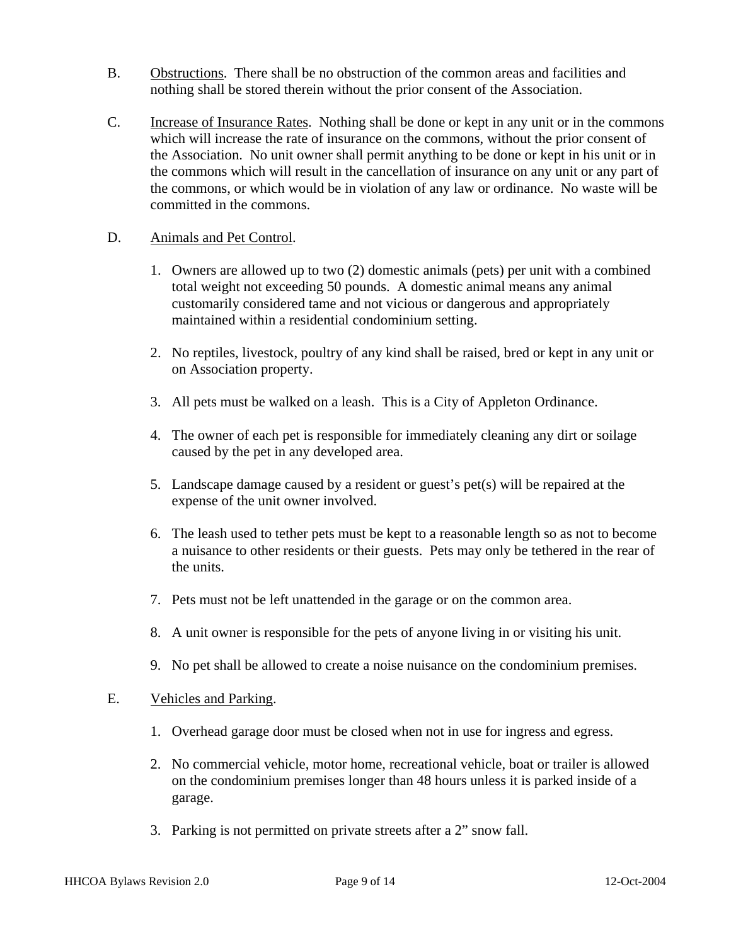- <span id="page-10-0"></span>B. Obstructions. There shall be no obstruction of the common areas and facilities and nothing shall be stored therein without the prior consent of the Association.
- C. Increase of Insurance Rates. Nothing shall be done or kept in any unit or in the commons which will increase the rate of insurance on the commons, without the prior consent of the Association. No unit owner shall permit anything to be done or kept in his unit or in the commons which will result in the cancellation of insurance on any unit or any part of the commons, or which would be in violation of any law or ordinance. No waste will be committed in the commons.

#### D. Animals and Pet Control.

- 1. Owners are allowed up to two (2) domestic animals (pets) per unit with a combined total weight not exceeding 50 pounds. A domestic animal means any animal customarily considered tame and not vicious or dangerous and appropriately maintained within a residential condominium setting.
- 2. No reptiles, livestock, poultry of any kind shall be raised, bred or kept in any unit or on Association property.
- 3. All pets must be walked on a leash. This is a City of Appleton Ordinance.
- 4. The owner of each pet is responsible for immediately cleaning any dirt or soilage caused by the pet in any developed area.
- 5. Landscape damage caused by a resident or guest's pet(s) will be repaired at the expense of the unit owner involved.
- 6. The leash used to tether pets must be kept to a reasonable length so as not to become a nuisance to other residents or their guests. Pets may only be tethered in the rear of the units.
- 7. Pets must not be left unattended in the garage or on the common area.
- 8. A unit owner is responsible for the pets of anyone living in or visiting his unit.
- 9. No pet shall be allowed to create a noise nuisance on the condominium premises.

#### E. Vehicles and Parking.

- 1. Overhead garage door must be closed when not in use for ingress and egress.
- 2. No commercial vehicle, motor home, recreational vehicle, boat or trailer is allowed on the condominium premises longer than 48 hours unless it is parked inside of a garage.
- 3. Parking is not permitted on private streets after a 2" snow fall.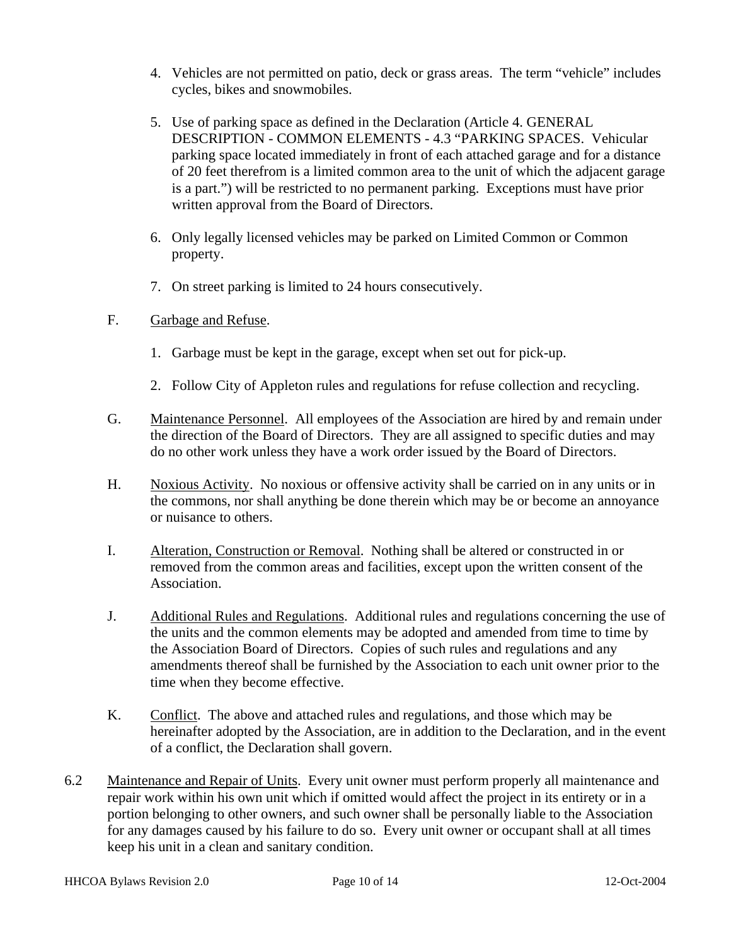- <span id="page-11-0"></span>4. Vehicles are not permitted on patio, deck or grass areas. The term "vehicle" includes cycles, bikes and snowmobiles.
- 5. Use of parking space as defined in the Declaration (Article 4. GENERAL DESCRIPTION - COMMON ELEMENTS - 4.3 "PARKING SPACES. Vehicular parking space located immediately in front of each attached garage and for a distance of 20 feet therefrom is a limited common area to the unit of which the adjacent garage is a part.") will be restricted to no permanent parking. Exceptions must have prior written approval from the Board of Directors.
- 6. Only legally licensed vehicles may be parked on Limited Common or Common property.
- 7. On street parking is limited to 24 hours consecutively.
- F. Garbage and Refuse.
	- 1. Garbage must be kept in the garage, except when set out for pick-up.
	- 2. Follow City of Appleton rules and regulations for refuse collection and recycling.
- G. Maintenance Personnel. All employees of the Association are hired by and remain under the direction of the Board of Directors. They are all assigned to specific duties and may do no other work unless they have a work order issued by the Board of Directors.
- H. Noxious Activity. No noxious or offensive activity shall be carried on in any units or in the commons, nor shall anything be done therein which may be or become an annoyance or nuisance to others.
- I. Alteration, Construction or Removal. Nothing shall be altered or constructed in or removed from the common areas and facilities, except upon the written consent of the Association.
- J. Additional Rules and Regulations. Additional rules and regulations concerning the use of the units and the common elements may be adopted and amended from time to time by the Association Board of Directors. Copies of such rules and regulations and any amendments thereof shall be furnished by the Association to each unit owner prior to the time when they become effective.
- K. Conflict. The above and attached rules and regulations, and those which may be hereinafter adopted by the Association, are in addition to the Declaration, and in the event of a conflict, the Declaration shall govern.
- 6.2 Maintenance and Repair of Units. Every unit owner must perform properly all maintenance and repair work within his own unit which if omitted would affect the project in its entirety or in a portion belonging to other owners, and such owner shall be personally liable to the Association for any damages caused by his failure to do so. Every unit owner or occupant shall at all times keep his unit in a clean and sanitary condition.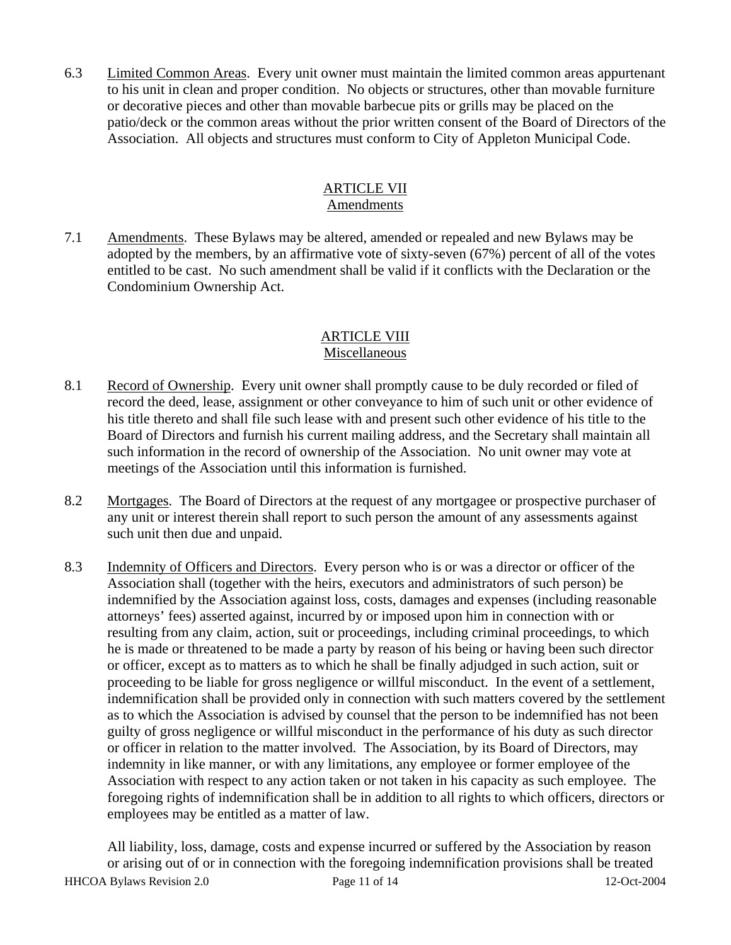<span id="page-12-0"></span>6.3 Limited Common Areas. Every unit owner must maintain the limited common areas appurtenant to his unit in clean and proper condition. No objects or structures, other than movable furniture or decorative pieces and other than movable barbecue pits or grills may be placed on the patio/deck or the common areas without the prior written consent of the Board of Directors of the Association. All objects and structures must conform to City of Appleton Municipal Code.

## ARTICLE VII

## Amendments

7.1 Amendments. These Bylaws may be altered, amended or repealed and new Bylaws may be adopted by the members, by an affirmative vote of sixty-seven (67%) percent of all of the votes entitled to be cast. No such amendment shall be valid if it conflicts with the Declaration or the Condominium Ownership Act.

## ARTICLE VIII Miscellaneous

- 8.1 Record of Ownership. Every unit owner shall promptly cause to be duly recorded or filed of record the deed, lease, assignment or other conveyance to him of such unit or other evidence of his title thereto and shall file such lease with and present such other evidence of his title to the Board of Directors and furnish his current mailing address, and the Secretary shall maintain all such information in the record of ownership of the Association. No unit owner may vote at meetings of the Association until this information is furnished.
- 8.2 Mortgages. The Board of Directors at the request of any mortgagee or prospective purchaser of any unit or interest therein shall report to such person the amount of any assessments against such unit then due and unpaid.
- 8.3 Indemnity of Officers and Directors. Every person who is or was a director or officer of the Association shall (together with the heirs, executors and administrators of such person) be indemnified by the Association against loss, costs, damages and expenses (including reasonable attorneys' fees) asserted against, incurred by or imposed upon him in connection with or resulting from any claim, action, suit or proceedings, including criminal proceedings, to which he is made or threatened to be made a party by reason of his being or having been such director or officer, except as to matters as to which he shall be finally adjudged in such action, suit or proceeding to be liable for gross negligence or willful misconduct. In the event of a settlement, indemnification shall be provided only in connection with such matters covered by the settlement as to which the Association is advised by counsel that the person to be indemnified has not been guilty of gross negligence or willful misconduct in the performance of his duty as such director or officer in relation to the matter involved. The Association, by its Board of Directors, may indemnity in like manner, or with any limitations, any employee or former employee of the Association with respect to any action taken or not taken in his capacity as such employee. The foregoing rights of indemnification shall be in addition to all rights to which officers, directors or employees may be entitled as a matter of law.

HHCOA Bylaws Revision 2.0 Page 11 of 14 12-Oct-2004 All liability, loss, damage, costs and expense incurred or suffered by the Association by reason or arising out of or in connection with the foregoing indemnification provisions shall be treated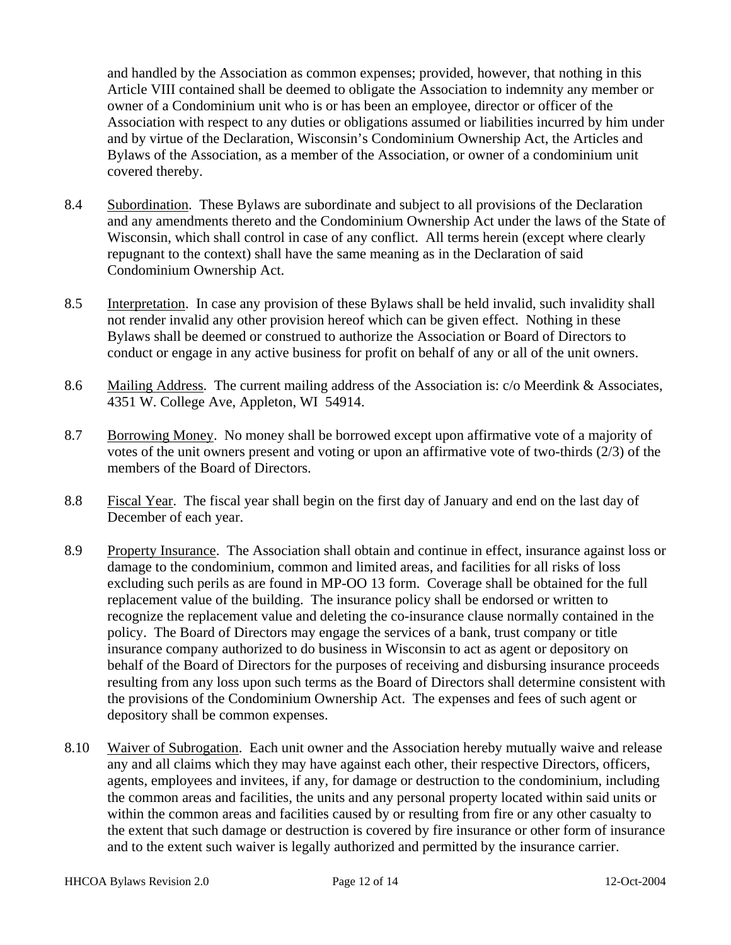<span id="page-13-0"></span>and handled by the Association as common expenses; provided, however, that nothing in this Article VIII contained shall be deemed to obligate the Association to indemnity any member or owner of a Condominium unit who is or has been an employee, director or officer of the Association with respect to any duties or obligations assumed or liabilities incurred by him under and by virtue of the Declaration, Wisconsin's Condominium Ownership Act, the Articles and Bylaws of the Association, as a member of the Association, or owner of a condominium unit covered thereby.

- 8.4 Subordination. These Bylaws are subordinate and subject to all provisions of the Declaration and any amendments thereto and the Condominium Ownership Act under the laws of the State of Wisconsin, which shall control in case of any conflict. All terms herein (except where clearly repugnant to the context) shall have the same meaning as in the Declaration of said Condominium Ownership Act.
- 8.5 Interpretation. In case any provision of these Bylaws shall be held invalid, such invalidity shall not render invalid any other provision hereof which can be given effect. Nothing in these Bylaws shall be deemed or construed to authorize the Association or Board of Directors to conduct or engage in any active business for profit on behalf of any or all of the unit owners.
- 8.6 Mailing Address. The current mailing address of the Association is: c/o Meerdink & Associates, 4351 W. College Ave, Appleton, WI 54914.
- 8.7 Borrowing Money. No money shall be borrowed except upon affirmative vote of a majority of votes of the unit owners present and voting or upon an affirmative vote of two-thirds (2/3) of the members of the Board of Directors.
- 8.8 Fiscal Year. The fiscal year shall begin on the first day of January and end on the last day of December of each year.
- 8.9 Property Insurance. The Association shall obtain and continue in effect, insurance against loss or damage to the condominium, common and limited areas, and facilities for all risks of loss excluding such perils as are found in MP-OO 13 form. Coverage shall be obtained for the full replacement value of the building. The insurance policy shall be endorsed or written to recognize the replacement value and deleting the co-insurance clause normally contained in the policy. The Board of Directors may engage the services of a bank, trust company or title insurance company authorized to do business in Wisconsin to act as agent or depository on behalf of the Board of Directors for the purposes of receiving and disbursing insurance proceeds resulting from any loss upon such terms as the Board of Directors shall determine consistent with the provisions of the Condominium Ownership Act. The expenses and fees of such agent or depository shall be common expenses.
- 8.10 Waiver of Subrogation. Each unit owner and the Association hereby mutually waive and release any and all claims which they may have against each other, their respective Directors, officers, agents, employees and invitees, if any, for damage or destruction to the condominium, including the common areas and facilities, the units and any personal property located within said units or within the common areas and facilities caused by or resulting from fire or any other casualty to the extent that such damage or destruction is covered by fire insurance or other form of insurance and to the extent such waiver is legally authorized and permitted by the insurance carrier.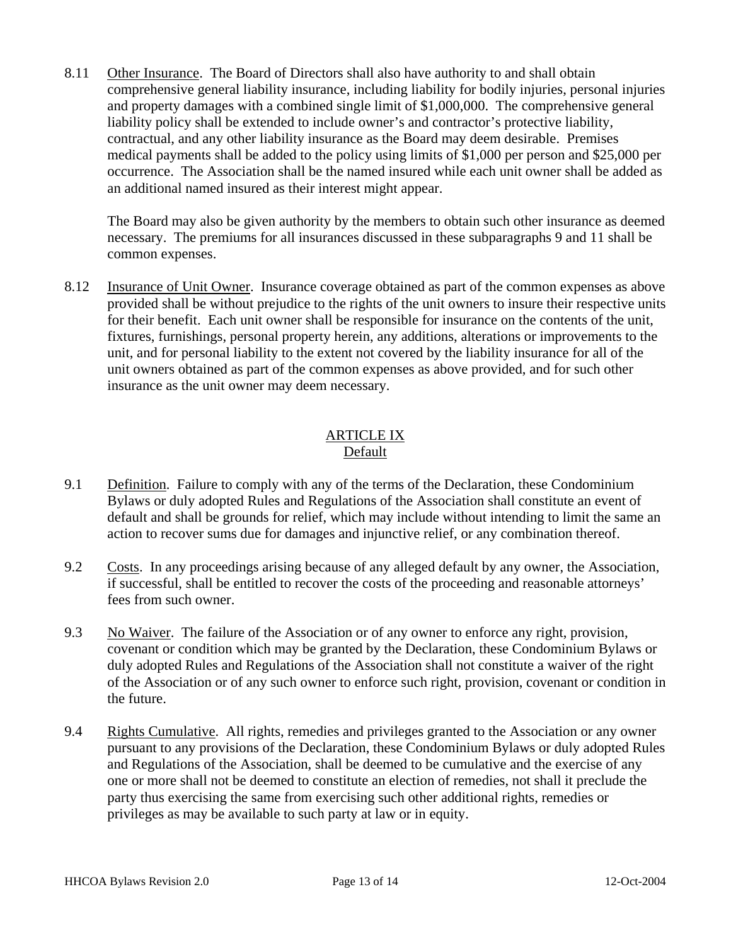<span id="page-14-0"></span>8.11 Other Insurance. The Board of Directors shall also have authority to and shall obtain comprehensive general liability insurance, including liability for bodily injuries, personal injuries and property damages with a combined single limit of \$1,000,000. The comprehensive general liability policy shall be extended to include owner's and contractor's protective liability, contractual, and any other liability insurance as the Board may deem desirable. Premises medical payments shall be added to the policy using limits of \$1,000 per person and \$25,000 per occurrence. The Association shall be the named insured while each unit owner shall be added as an additional named insured as their interest might appear.

 The Board may also be given authority by the members to obtain such other insurance as deemed necessary. The premiums for all insurances discussed in these subparagraphs 9 and 11 shall be common expenses.

8.12 Insurance of Unit Owner. Insurance coverage obtained as part of the common expenses as above provided shall be without prejudice to the rights of the unit owners to insure their respective units for their benefit. Each unit owner shall be responsible for insurance on the contents of the unit, fixtures, furnishings, personal property herein, any additions, alterations or improvements to the unit, and for personal liability to the extent not covered by the liability insurance for all of the unit owners obtained as part of the common expenses as above provided, and for such other insurance as the unit owner may deem necessary.

## ARTICLE IX Default

- 9.1 Definition. Failure to comply with any of the terms of the Declaration, these Condominium Bylaws or duly adopted Rules and Regulations of the Association shall constitute an event of default and shall be grounds for relief, which may include without intending to limit the same an action to recover sums due for damages and injunctive relief, or any combination thereof.
- 9.2 Costs. In any proceedings arising because of any alleged default by any owner, the Association, if successful, shall be entitled to recover the costs of the proceeding and reasonable attorneys' fees from such owner.
- 9.3 No Waiver. The failure of the Association or of any owner to enforce any right, provision, covenant or condition which may be granted by the Declaration, these Condominium Bylaws or duly adopted Rules and Regulations of the Association shall not constitute a waiver of the right of the Association or of any such owner to enforce such right, provision, covenant or condition in the future.
- 9.4 Rights Cumulative. All rights, remedies and privileges granted to the Association or any owner pursuant to any provisions of the Declaration, these Condominium Bylaws or duly adopted Rules and Regulations of the Association, shall be deemed to be cumulative and the exercise of any one or more shall not be deemed to constitute an election of remedies, not shall it preclude the party thus exercising the same from exercising such other additional rights, remedies or privileges as may be available to such party at law or in equity.